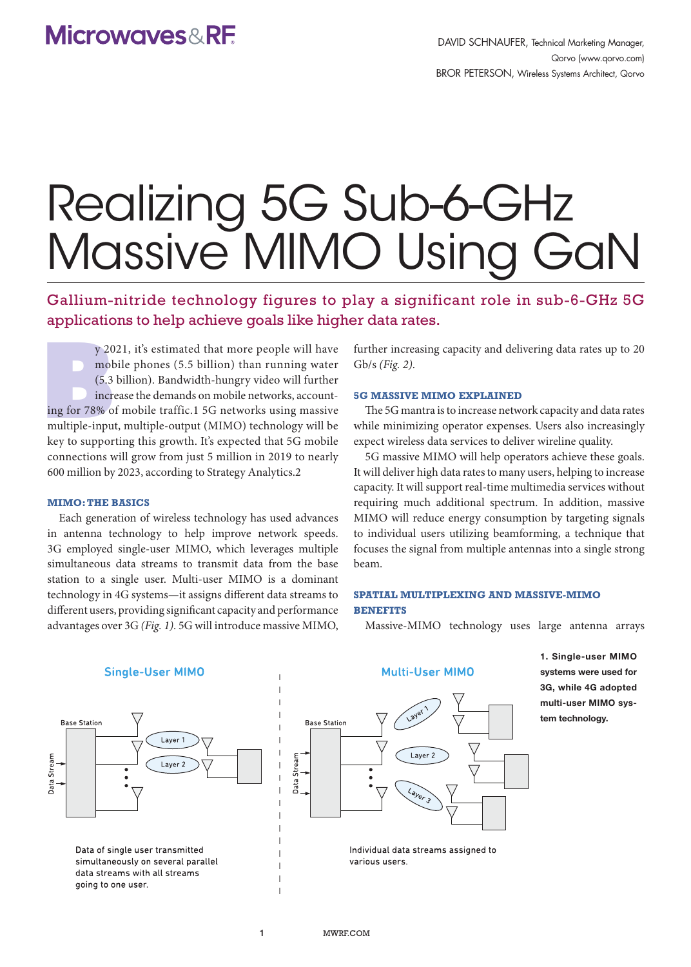# Realizing 5G Sub-6-GHz Massive MIMO Using GaN

Gallium-nitride technology figures to play a significant role in sub-6-GHz 5G applications to help achieve goals like higher data rates.

y 20<br>
mot<br>
(5.3<br>
incr<br>
ing for 78% o<br>
multiple-inpu y 2021, it's estimated that more people will have mobile phones (5.5 billion) than running water (5.3 billion). Bandwidth-hungry video will further increase the demands on mobile networks, accounting for 78% of mobile traffic.1 5G networks using massive multiple-input, multiple-output (MIMO) technology will be key to supporting this growth. It's expected that 5G mobile connections will grow from just 5 million in 2019 to nearly 600 million by 2023, according to Strategy Analytics.2

#### **MIMO: THE BASICS**

Each generation of wireless technology has used advances in antenna technology to help improve network speeds. 3G employed single-user MIMO, which leverages multiple simultaneous data streams to transmit data from the base station to a single user. Multi-user MIMO is a dominant technology in 4G systems—it assigns different data streams to different users, providing significant capacity and performance advantages over 3G *(Fig. 1)*. 5G will introduce massive MIMO,

further increasing capacity and delivering data rates up to 20 Gb/s *(Fig. 2)*.

#### **5G MASSIVE MIMO EXPLAINED**

The 5G mantra is to increase network capacity and data rates while minimizing operator expenses. Users also increasingly expect wireless data services to deliver wireline quality.

5G massive MIMO will help operators achieve these goals. It will deliver high data rates to many users, helping to increase capacity. It will support real-time multimedia services without requiring much additional spectrum. In addition, massive MIMO will reduce energy consumption by targeting signals to individual users utilizing beamforming, a technique that focuses the signal from multiple antennas into a single strong beam.

## **SPATIAL MULTIPLEXING AND MASSIVE-MIMO BENEFITS**

Massive-MIMO technology uses large antenna arrays



1. Single-user MIMO systems were used for 3G, while 4G adopted multi-user MIMO system technology.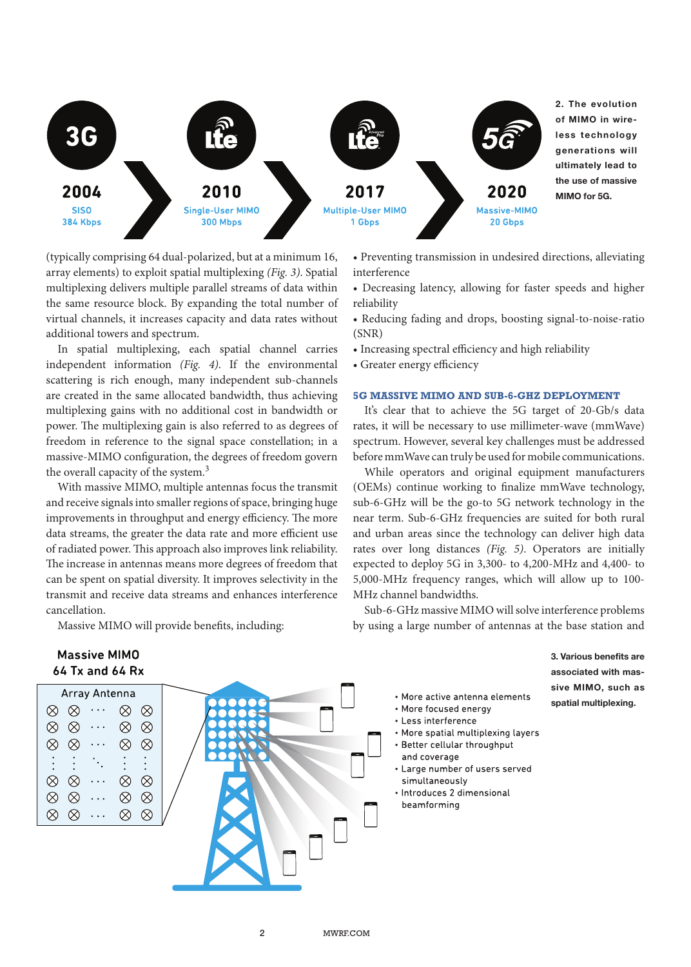

(typically comprising 64 dual-polarized, but at a minimum 16, array elements) to exploit spatial multiplexing *(Fig. 3)*. Spatial multiplexing delivers multiple parallel streams of data within the same resource block. By expanding the total number of virtual channels, it increases capacity and data rates without additional towers and spectrum.

In spatial multiplexing, each spatial channel carries independent information *(Fig. 4)*. If the environmental scattering is rich enough, many independent sub-channels are created in the same allocated bandwidth, thus achieving multiplexing gains with no additional cost in bandwidth or power. The multiplexing gain is also referred to as degrees of freedom in reference to the signal space constellation; in a massive-MIMO configuration, the degrees of freedom govern the overall capacity of the system.<sup>3</sup>

With massive MIMO, multiple antennas focus the transmit and receive signals into smaller regions of space, bringing huge improvements in throughput and energy efficiency. The more data streams, the greater the data rate and more efficient use of radiated power. This approach also improves link reliability. The increase in antennas means more degrees of freedom that can be spent on spatial diversity. It improves selectivity in the transmit and receive data streams and enhances interference cancellation.

Massive MIMO will provide benefits, including:

## • Preventing transmission in undesired directions, alleviating interference

- Decreasing latency, allowing for faster speeds and higher reliability
- Reducing fading and drops, boosting signal-to-noise-ratio (SNR)
- Increasing spectral efficiency and high reliability
- Greater energy efficiency

#### **5G MASSIVE MIMO AND SUB-6-GHZ DEPLOYMENT**

It's clear that to achieve the 5G target of 20-Gb/s data rates, it will be necessary to use millimeter-wave (mmWave) spectrum. However, several key challenges must be addressed before mmWave can truly be used for mobile communications.

While operators and original equipment manufacturers (OEMs) continue working to finalize mmWave technology, sub-6-GHz will be the go-to 5G network technology in the near term. Sub-6-GHz frequencies are suited for both rural and urban areas since the technology can deliver high data rates over long distances *(Fig. 5)*. Operators are initially expected to deploy 5G in 3,300- to 4,200-MHz and 4,400- to 5,000-MHz frequency ranges, which will allow up to 100- MHz channel bandwidths.

Sub-6-GHz massive MIMO will solve interference problems by using a large number of antennas at the base station and

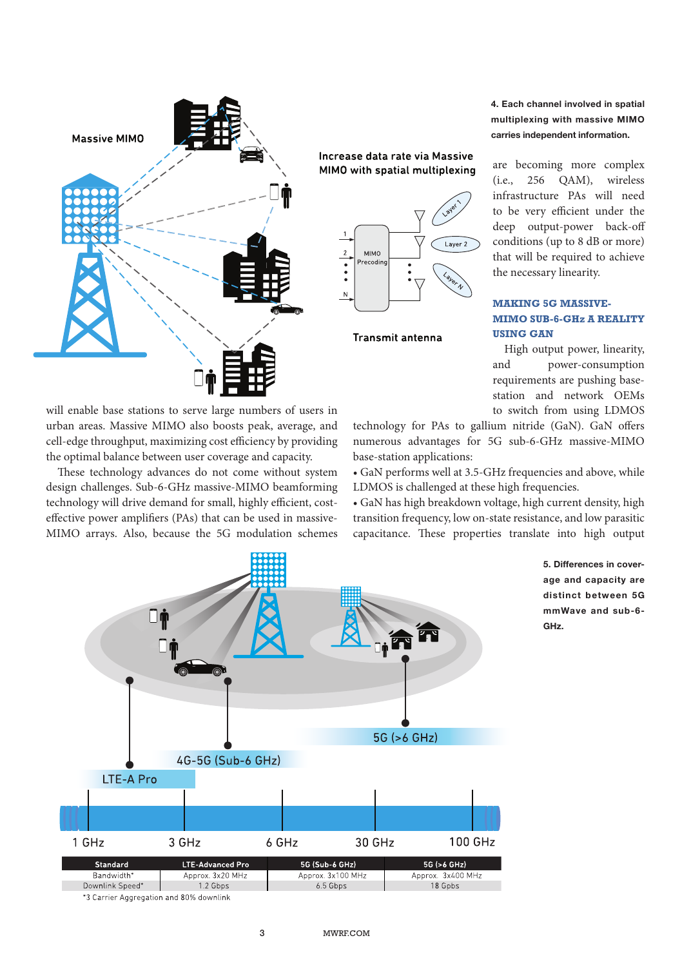

will enable base stations to serve large numbers of users in urban areas. Massive MIMO also boosts peak, average, and cell-edge throughput, maximizing cost efficiency by providing the optimal balance between user coverage and capacity. These technology advances do not come without system design challenges. Sub-6-GHz massive-MIMO beamforming technology will drive demand for small, highly efficient, costeffective power amplifiers (PAs) that can be used in massive-MIMO arrays. Also, because the 5G modulation schemes

Increase data rate via Massive MIMO with spatial multiplexing



Transmit antenna

4. Each channel involved in spatial multiplexing with massive MIMO carries independent information.

are becoming more complex (i.e., 256 QAM), wireless infrastructure PAs will need to be very efficient under the deep output-power back-off conditions (up to 8 dB or more) that will be required to achieve the necessary linearity.

## **MAKING 5G MASSIVE-MIMO SUB-6-GHz A REALITY USING GAN**

High output power, linearity, and power-consumption requirements are pushing basestation and network OEMs to switch from using LDMOS

> 5. Differences in coverage and capacity are distinct between 5G mmWave and sub-6-

GHz.

technology for PAs to gallium nitride (GaN). GaN offers numerous advantages for 5G sub-6-GHz massive-MIMO base-station applications:

• GaN performs well at 3.5-GHz frequencies and above, while LDMOS is challenged at these high frequencies.

• GaN has high breakdown voltage, high current density, high transition frequency, low on-state resistance, and low parasitic capacitance. These properties translate into high output

18 Gpbs



Downlink Speed\* 1.2 Gbps 6.5 Gbps

\*3 Carrier Aggregation and 80% downlink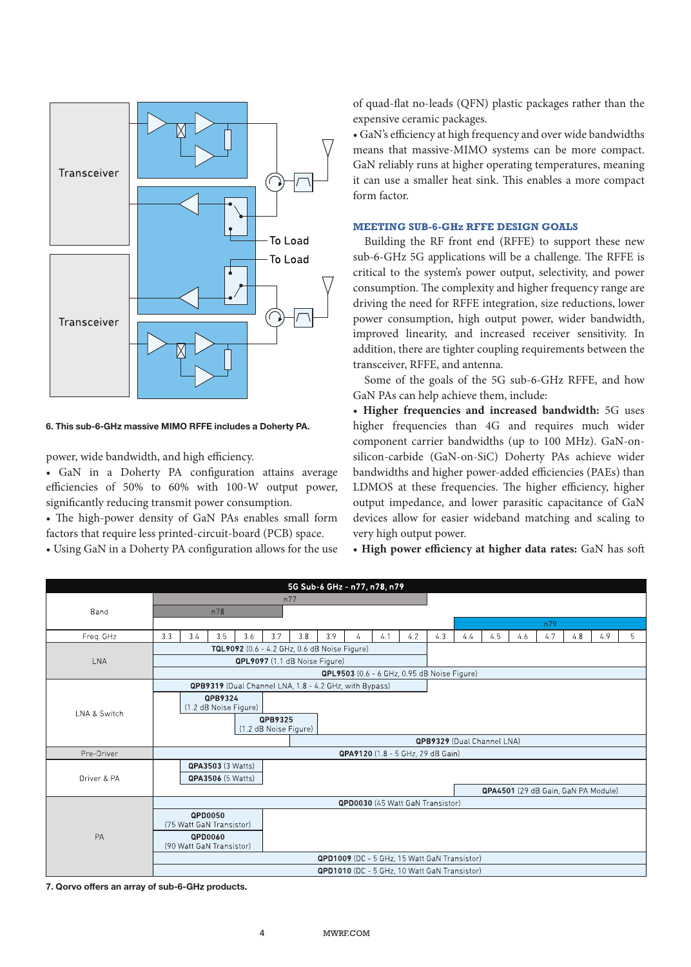

6. This sub-6-GHz massive MIMO RFFE includes a Doherty PA.

power, wide bandwidth, and high efficiency.

• GaN in a Doherty PA configuration attains average efficiencies of 50% to 60% with 100-W output power, significantly reducing transmit power consumption.

• The high-power density of GaN PAs enables small form factors that require less printed-circuit-board (PCB) space.

• Using GaN in a Doherty PA configuration allows for the use

of quad-flat no-leads (QFN) plastic packages rather than the expensive ceramic packages.

• GaN's efficiency at high frequency and over wide bandwidths means that massive-MIMO systems can be more compact. GaN reliably runs at higher operating temperatures, meaning it can use a smaller heat sink. This enables a more compact form factor.

## **MEETING SUB-6-GHz RFFE DESIGN GOALS**

Building the RF front end (RFFE) to support these new sub-6-GHz 5G applications will be a challenge. The RFFE is critical to the system's power output, selectivity, and power consumption. The complexity and higher frequency range are driving the need for RFFE integration, size reductions, lower power consumption, high output power, wider bandwidth, improved linearity, and increased receiver sensitivity. In addition, there are tighter coupling requirements between the transceiver, RFFE, and antenna.

Some of the goals of the 5G sub-6-GHz RFFE, and how GaN PAs can help achieve them, include:

• **Higher frequencies and increased bandwidth:** 5G uses higher frequencies than 4G and requires much wider component carrier bandwidths (up to 100 MHz). GaN-onsilicon-carbide (GaN-on-SiC) Doherty PAs achieve wider bandwidths and higher power-added efficiencies (PAEs) than LDMOS at these frequencies. The higher efficiency, higher output impedance, and lower parasitic capacitance of GaN devices allow for easier wideband matching and scaling to very high output power.

• **High power efficiency at higher data rates:** GaN has soft

| 5G Sub-6 GHz - n77, n78, n79 |                                                        |                          |                          |     |     |                                     |     |   |                                              |     |     |     |     |     |     |     |     |   |
|------------------------------|--------------------------------------------------------|--------------------------|--------------------------|-----|-----|-------------------------------------|-----|---|----------------------------------------------|-----|-----|-----|-----|-----|-----|-----|-----|---|
| Band                         | n77                                                    |                          |                          |     |     |                                     |     |   |                                              |     |     |     |     |     |     |     |     |   |
|                              | n78                                                    |                          |                          |     |     |                                     |     |   |                                              |     |     |     |     |     |     |     |     |   |
|                              |                                                        |                          |                          |     |     |                                     |     |   |                                              |     |     |     |     |     | n79 |     |     |   |
| Freq. GHz                    | 3.3                                                    | 3.4                      | 3.5                      | 3.6 | 3.7 | 3.8                                 | 3.9 | 4 | 4.1                                          | 4.2 | 4.3 | 4.4 | 4.5 | 4.6 | 4.7 | 4.8 | 4.9 | 5 |
|                              | TQL9092 (0.6 - 4.2 GHz, 0.6 dB Noise Figure)           |                          |                          |     |     |                                     |     |   |                                              |     |     |     |     |     |     |     |     |   |
| LNA                          | QPL9097 (1.1 dB Noise Figure)                          |                          |                          |     |     |                                     |     |   |                                              |     |     |     |     |     |     |     |     |   |
|                              | QPL9503 (0.6 - 6 GHz, 0.95 dB Noise Figure)            |                          |                          |     |     |                                     |     |   |                                              |     |     |     |     |     |     |     |     |   |
| LNA & Switch                 | QPB9319 (Dual Channel LNA, 1.8 - 4.2 GHz, with Bypass) |                          |                          |     |     |                                     |     |   |                                              |     |     |     |     |     |     |     |     |   |
|                              | QPB9324<br>(1.2 dB Noise Figure)                       |                          |                          |     |     |                                     |     |   |                                              |     |     |     |     |     |     |     |     |   |
|                              | QPB9325<br>(1.2 dB Noise Figure)                       |                          |                          |     |     |                                     |     |   |                                              |     |     |     |     |     |     |     |     |   |
|                              | QPB9329 (Dual Channel LNA)                             |                          |                          |     |     |                                     |     |   |                                              |     |     |     |     |     |     |     |     |   |
| Pre-Driver                   | QPA9120 (1.8 - 5 GHz, 29 dB Gain)                      |                          |                          |     |     |                                     |     |   |                                              |     |     |     |     |     |     |     |     |   |
| Driver & PA                  |                                                        |                          | <b>QPA3503 (3 Watts)</b> |     |     |                                     |     |   |                                              |     |     |     |     |     |     |     |     |   |
|                              | <b>QPA3506</b> (5 Watts)                               |                          |                          |     |     |                                     |     |   |                                              |     |     |     |     |     |     |     |     |   |
|                              |                                                        |                          |                          |     |     | QPA4501 (29 dB Gain, GaN PA Module) |     |   |                                              |     |     |     |     |     |     |     |     |   |
|                              | <b>QPD0030</b> (45 Watt GaN Transistor)                |                          |                          |     |     |                                     |     |   |                                              |     |     |     |     |     |     |     |     |   |
| PA                           |                                                        | (75 Watt GaN Transistor) | QPD0050                  |     |     |                                     |     |   |                                              |     |     |     |     |     |     |     |     |   |
|                              |                                                        | (90 Watt GaN Transistor) | QPD0060                  |     |     |                                     |     |   |                                              |     |     |     |     |     |     |     |     |   |
|                              |                                                        |                          |                          |     |     |                                     |     |   | QPD1009 (DC - 5 GHz, 15 Watt GaN Transistor) |     |     |     |     |     |     |     |     |   |
|                              |                                                        |                          |                          |     |     |                                     |     |   | QPD1010 (DC - 5 GHz, 10 Watt GaN Transistor) |     |     |     |     |     |     |     |     |   |

7. Qorvo offers an array of sub-6-GHz products.